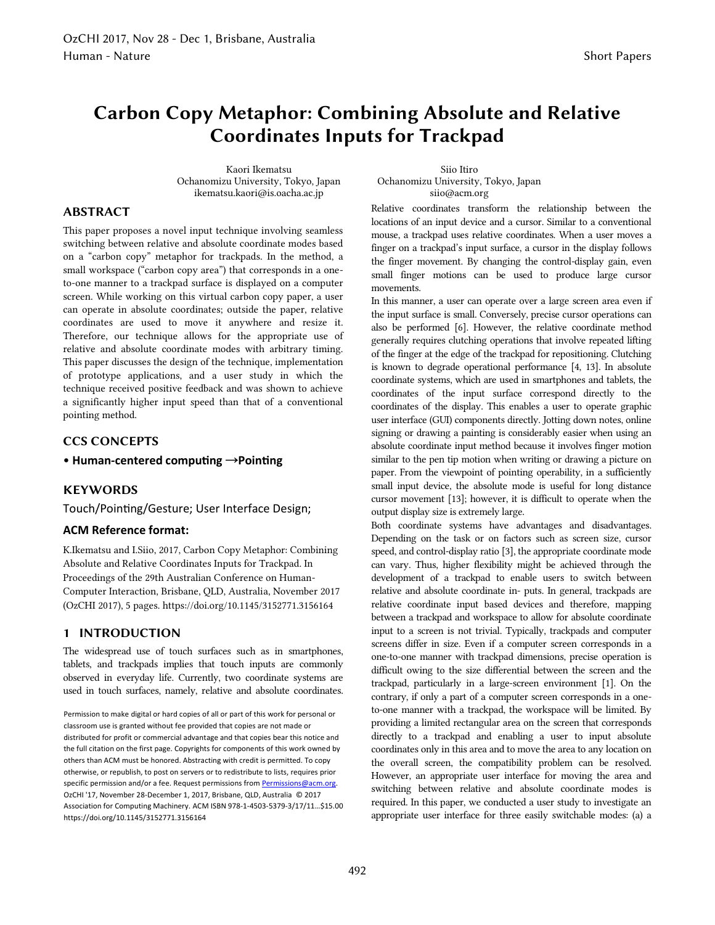# **Carbon Copy Metaphor: Combining Absolute and Relative Coordinates Inputs for Trackpad**

Kaori Ikematsu Ochanomizu University, Tokyo, Japan ikematsu.kaori@is.oacha.ac.jp

Siio Itiro Ochanomizu University, Tokyo, Japan siio@acm.org

# **ABSTRACT**

This paper proposes a novel input technique involving seamless switching between relative and absolute coordinate modes based on a "carbon copy" metaphor for trackpads. In the method, a small workspace ("carbon copy area") that corresponds in a oneto-one manner to a trackpad surface is displayed on a computer screen. While working on this virtual carbon copy paper, a user can operate in absolute coordinates; outside the paper, relative coordinates are used to move it anywhere and resize it. Therefore, our technique allows for the appropriate use of relative and absolute coordinate modes with arbitrary timing. This paper discusses the design of the technique, implementation of prototype applications, and a user study in which the technique received positive feedback and was shown to achieve a significantly higher input speed than that of a conventional pointing method.

# **CCS CONCEPTS**

• **Human-centered computing** →**Pointing**

## **KEYWORDS**

Touch/Pointing/Gesture; User Interface Design;

#### **ACM Reference format:**

K.Ikematsu and I.Siio, 2017, Carbon Copy Metaphor: Combining Absolute and Relative Coordinates Inputs for Trackpad. In Proceedings of the 29th Australian Conference on Human-Computer Interaction, Brisbane, QLD, Australia, November 2017 (OzCHI 2017), 5 pages. https://doi.org/10.1145/3152771.3156164

## **1 INTRODUCTION**

The widespread use of touch surfaces such as in smartphones, tablets, and trackpads implies that touch inputs are commonly observed in everyday life. Currently, two coordinate systems are used in touch surfaces, namely, relative and absolute coordinates.

Permission to make digital or hard copies of all or part of this work for personal or classroom use is granted without fee provided that copies are not made or distributed for profit or commercial advantage and that copies bear this notice and the full citation on the first page. Copyrights for components of this work owned by others than ACM must be honored. Abstracting with credit is permitted. To copy otherwise, or republish, to post on servers or to redistribute to lists, requires prior specific permission and/or a fee. Request permissions from **Permissions@acm.org.** OzCHI '17, November 28-December 1, 2017, Brisbane, QLD, Australia © 2017 Association for Computing Machinery. ACM ISBN 978-1-4503-5379-3/17/11…\$15.00 https://doi.org/10.1145/3152771.3156164

Relative coordinates transform the relationship between the locations of an input device and a cursor. Similar to a conventional mouse, a trackpad uses relative coordinates. When a user moves a finger on a trackpad's input surface, a cursor in the display follows the finger movement. By changing the control-display gain, even small finger motions can be used to produce large cursor movements.

In this manner, a user can operate over a large screen area even if the input surface is small. Conversely, precise cursor operations can also be performed [6]. However, the relative coordinate method generally requires clutching operations that involve repeated lifting of the finger at the edge of the trackpad for repositioning. Clutching is known to degrade operational performance [4, 13]. In absolute coordinate systems, which are used in smartphones and tablets, the coordinates of the input surface correspond directly to the coordinates of the display. This enables a user to operate graphic user interface (GUI) components directly. Jotting down notes, online signing or drawing a painting is considerably easier when using an absolute coordinate input method because it involves finger motion similar to the pen tip motion when writing or drawing a picture on paper. From the viewpoint of pointing operability, in a sufficiently small input device, the absolute mode is useful for long distance cursor movement [13]; however, it is difficult to operate when the output display size is extremely large.

Both coordinate systems have advantages and disadvantages. Depending on the task or on factors such as screen size, cursor speed, and control-display ratio [3], the appropriate coordinate mode can vary. Thus, higher flexibility might be achieved through the development of a trackpad to enable users to switch between relative and absolute coordinate in- puts. In general, trackpads are relative coordinate input based devices and therefore, mapping between a trackpad and workspace to allow for absolute coordinate input to a screen is not trivial. Typically, trackpads and computer screens differ in size. Even if a computer screen corresponds in a one-to-one manner with trackpad dimensions, precise operation is difficult owing to the size differential between the screen and the trackpad, particularly in a large-screen environment [1]. On the contrary, if only a part of a computer screen corresponds in a oneto-one manner with a trackpad, the workspace will be limited. By providing a limited rectangular area on the screen that corresponds directly to a trackpad and enabling a user to input absolute coordinates only in this area and to move the area to any location on the overall screen, the compatibility problem can be resolved. However, an appropriate user interface for moving the area and switching between relative and absolute coordinate modes is required. In this paper, we conducted a user study to investigate an appropriate user interface for three easily switchable modes: (a) a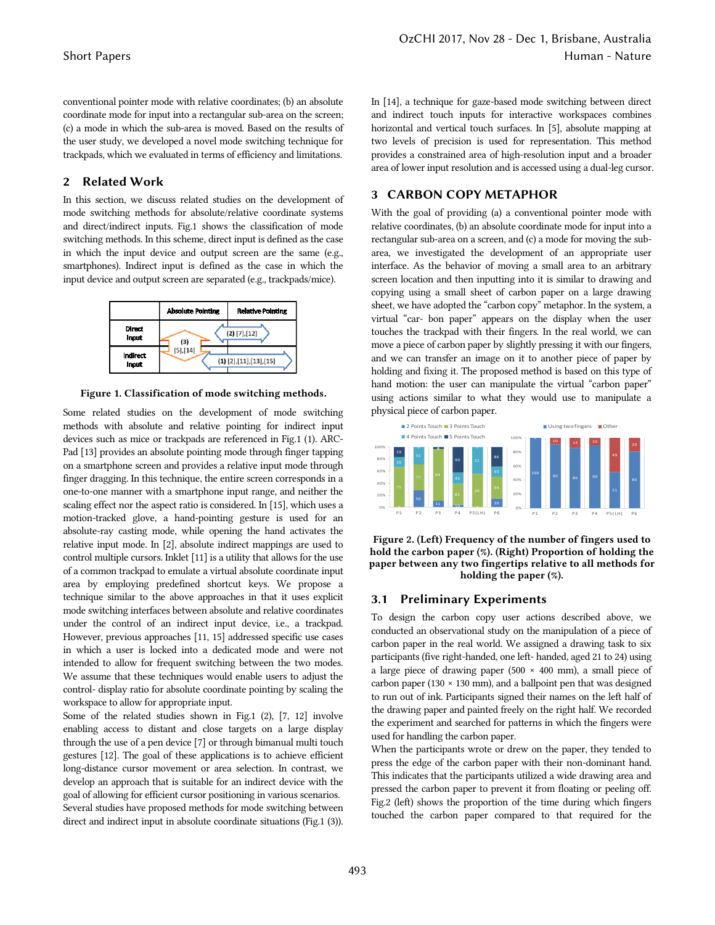conventional pointer mode with relative coordinates; (b) an absolute coordinate mode for input into a rectangular sub-area on the screen; (c) a mode in which the sub-area is moved. Based on the results of the user study, we developed a novel mode switching technique for trackpads, which we evaluated in terms of efficiency and limitations.

## **2 Related Work**

In this section, we discuss related studies on the development of mode switching methods for absolute/relative coordinate systems and direct/indirect inputs. Fig.1 shows the classification of mode switching methods. In this scheme, direct input is defined as the case in which the input device and output screen are the same (e.g., smartphones). Indirect input is defined as the case in which the input device and output screen are separated (e.g., trackpads/mice).



**Figure 1. Classification of mode switching methods.** 

Some related studies on the development of mode switching methods with absolute and relative pointing for indirect input devices such as mice or trackpads are referenced in Fig.1 (1). ARC-Pad [13] provides an absolute pointing mode through finger tapping on a smartphone screen and provides a relative input mode through finger dragging. In this technique, the entire screen corresponds in a one-to-one manner with a smartphone input range, and neither the scaling effect nor the aspect ratio is considered. In [15], which uses a motion-tracked glove, a hand-pointing gesture is used for an absolute-ray casting mode, while opening the hand activates the relative input mode. In [2], absolute indirect mappings are used to control multiple cursors. Inklet [11] is a utility that allows for the use of a common trackpad to emulate a virtual absolute coordinate input area by employing predefined shortcut keys. We propose a technique similar to the above approaches in that it uses explicit mode switching interfaces between absolute and relative coordinates under the control of an indirect input device, i.e., a trackpad. However, previous approaches [11, 15] addressed specific use cases in which a user is locked into a dedicated mode and were not intended to allow for frequent switching between the two modes. We assume that these techniques would enable users to adjust the control- display ratio for absolute coordinate pointing by scaling the workspace to allow for appropriate input.

Some of the related studies shown in Fig.1 (2), [7, 12] involve enabling access to distant and close targets on a large display through the use of a pen device [7] or through bimanual multi touch gestures [12]. The goal of these applications is to achieve efficient long-distance cursor movement or area selection. In contrast, we develop an approach that is suitable for an indirect device with the goal of allowing for efficient cursor positioning in various scenarios. Several studies have proposed methods for mode switching between direct and indirect input in absolute coordinate situations (Fig.1 (3)).

In [14], a technique for gaze-based mode switching between direct and indirect touch inputs for interactive workspaces combines horizontal and vertical touch surfaces. In [5], absolute mapping at two levels of precision is used for representation. This method provides a constrained area of high-resolution input and a broader area of lower input resolution and is accessed using a dual-leg cursor.

## **3 CARBON COPY METAPHOR**

With the goal of providing (a) a conventional pointer mode with relative coordinates, (b) an absolute coordinate mode for input into a rectangular sub-area on a screen, and (c) a mode for moving the subarea, we investigated the development of an appropriate user interface. As the behavior of moving a small area to an arbitrary screen location and then inputting into it is similar to drawing and copying using a small sheet of carbon paper on a large drawing sheet, we have adopted the "carbon copy" metaphor. In the system, a virtual "car- bon paper" appears on the display when the user touches the trackpad with their fingers. In the real world, we can move a piece of carbon paper by slightly pressing it with our fingers, and we can transfer an image on it to another piece of paper by holding and fixing it. The proposed method is based on this type of hand motion: the user can manipulate the virtual "carbon paper" using actions similar to what they would use to manipulate a physical piece of carbon paper.



**Figure 2. (Left) Frequency of the number of fingers used to hold the carbon paper (%). (Right) Proportion of holding the paper between any two fingertips relative to all methods for holding the paper (%).** 

#### **3.1 Preliminary Experiments**

To design the carbon copy user actions described above, we conducted an observational study on the manipulation of a piece of carbon paper in the real world. We assigned a drawing task to six participants (five right-handed, one left- handed, aged 21 to 24) using a large piece of drawing paper (500 × 400 mm), a small piece of carbon paper (130  $\times$  130 mm), and a ballpoint pen that was designed to run out of ink. Participants signed their names on the left half of the drawing paper and painted freely on the right half. We recorded the experiment and searched for patterns in which the fingers were used for handling the carbon paper.

When the participants wrote or drew on the paper, they tended to press the edge of the carbon paper with their non-dominant hand. This indicates that the participants utilized a wide drawing area and pressed the carbon paper to prevent it from floating or peeling off. Fig.2 (left) shows the proportion of the time during which fingers touched the carbon paper compared to that required for the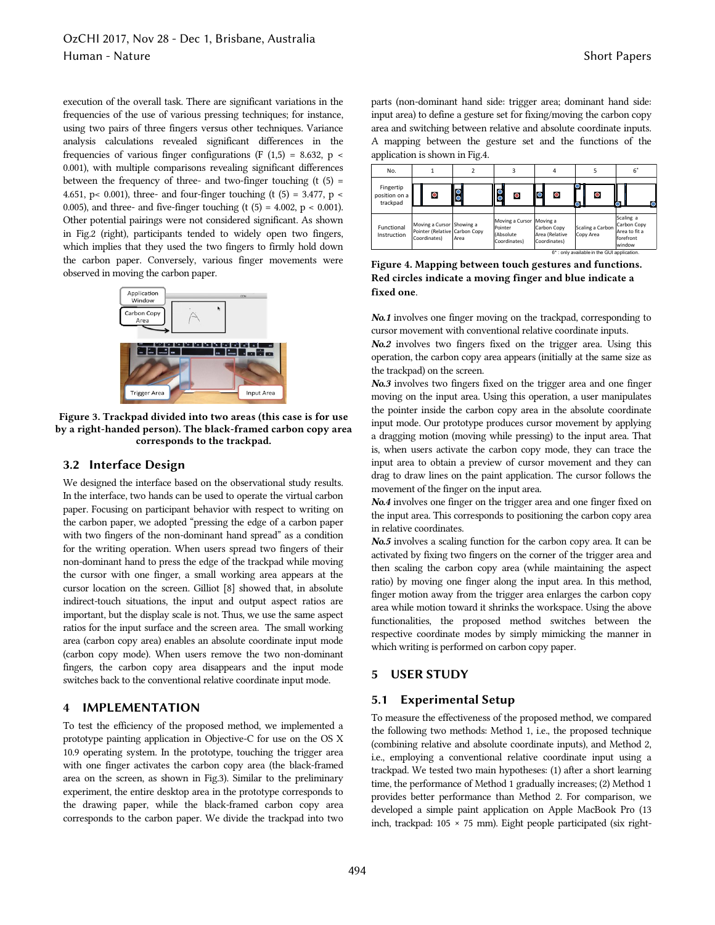execution of the overall task. There are significant variations in the frequencies of the use of various pressing techniques; for instance, using two pairs of three fingers versus other techniques. Variance analysis calculations revealed significant differences in the frequencies of various finger configurations (F  $(1,5) = 8.632$ , p < 0.001), with multiple comparisons revealing significant differences between the frequency of three- and two-finger touching  $(t(5) =$ 4.651, p< 0.001), three- and four-finger touching (t  $(5) = 3.477$ , p < 0.005), and three- and five-finger touching (t  $(5) = 4.002$ ,  $p < 0.001$ ). Other potential pairings were not considered significant. As shown in Fig.2 (right), participants tended to widely open two fingers, which implies that they used the two fingers to firmly hold down the carbon paper. Conversely, various finger movements were observed in moving the carbon paper.



**Figure 3. Trackpad divided into two areas (this case is for use by a right-handed person). The black-framed carbon copy area corresponds to the trackpad.** 

#### **3.2 Interface Design**

We designed the interface based on the observational study results. In the interface, two hands can be used to operate the virtual carbon paper. Focusing on participant behavior with respect to writing on the carbon paper, we adopted "pressing the edge of a carbon paper with two fingers of the non-dominant hand spread" as a condition for the writing operation. When users spread two fingers of their non-dominant hand to press the edge of the trackpad while moving the cursor with one finger, a small working area appears at the cursor location on the screen. Gilliot [8] showed that, in absolute indirect-touch situations, the input and output aspect ratios are important, but the display scale is not. Thus, we use the same aspect ratios for the input surface and the screen area. The small working area (carbon copy area) enables an absolute coordinate input mode (carbon copy mode). When users remove the two non-dominant fingers, the carbon copy area disappears and the input mode switches back to the conventional relative coordinate input mode.

#### **4 IMPLEMENTATION**

To test the efficiency of the proposed method, we implemented a prototype painting application in Objective-C for use on the OS X 10.9 operating system. In the prototype, touching the trigger area with one finger activates the carbon copy area (the black-framed area on the screen, as shown in Fig.3). Similar to the preliminary experiment, the entire desktop area in the prototype corresponds to the drawing paper, while the black-framed carbon copy area corresponds to the carbon paper. We divide the trackpad into two parts (non-dominant hand side: trigger area; dominant hand side: input area) to define a gesture set for fixing/moving the carbon copy area and switching between relative and absolute coordinate inputs. A mapping between the gesture set and the functions of the application is shown in Fig.4. Short Papers<br>
s (non-dominant hand side: trigger area; dominant hand side:<br>
at area) to define a gesture set for fixing/moving the carbon copy<br>
and switching between relative and absolute coordinate inputs.<br>
mapping betwe

| No.                                    |                                                                            |        |                                                                  | 4                                             | 5                             | 6                                                                |
|----------------------------------------|----------------------------------------------------------------------------|--------|------------------------------------------------------------------|-----------------------------------------------|-------------------------------|------------------------------------------------------------------|
| Fingertip<br>position on a<br>trackpad | O                                                                          | S      | $\circ$<br>C                                                     |                                               | $\circ$                       |                                                                  |
| Functional<br>Instruction              | Moving a Cursor Showing a<br>Pointer (Relative Carbon Copy<br>Coordinates) | l Area | Moving a Cursor Moving a<br>Pointer<br>(Absolute<br>Coordinates) | Carbon Copy<br>Area (Relative<br>Coordinates) | Scaling a Carbon<br>Copy Area | Scaling a<br>Carbon Copy<br>Area to fit a<br>forefront<br>window |

**Figure 4. Mapping between touch gestures and functions. Red circles indicate a moving finger and blue indicate a fixed one**.

*No.1* involves one finger moving on the trackpad, corresponding to cursor movement with conventional relative coordinate inputs.

*No.2* involves two fingers fixed on the trigger area. Using this operation, the carbon copy area appears (initially at the same size as the trackpad) on the screen.

*No.3* involves two fingers fixed on the trigger area and one finger moving on the input area. Using this operation, a user manipulates the pointer inside the carbon copy area in the absolute coordinate input mode. Our prototype produces cursor movement by applying a dragging motion (moving while pressing) to the input area. That is, when users activate the carbon copy mode, they can trace the input area to obtain a preview of cursor movement and they can drag to draw lines on the paint application. The cursor follows the movement of the finger on the input area.

*No.4* involves one finger on the trigger area and one finger fixed on the input area. This corresponds to positioning the carbon copy area in relative coordinates.

*No.5* involves a scaling function for the carbon copy area. It can be activated by fixing two fingers on the corner of the trigger area and then scaling the carbon copy area (while maintaining the aspect ratio) by moving one finger along the input area. In this method, finger motion away from the trigger area enlarges the carbon copy area while motion toward it shrinks the workspace. Using the above functionalities, the proposed method switches between the respective coordinate modes by simply mimicking the manner in which writing is performed on carbon copy paper.

#### **5 USER STUDY**

#### **5.1 Experimental Setup**

To measure the effectiveness of the proposed method, we compared the following two methods: Method 1, i.e., the proposed technique (combining relative and absolute coordinate inputs), and Method 2, i.e., employing a conventional relative coordinate input using a trackpad. We tested two main hypotheses: (1) after a short learning time, the performance of Method 1 gradually increases; (2) Method 1 provides better performance than Method 2. For comparison, we developed a simple paint application on Apple MacBook Pro (13 inch, trackpad: 105 × 75 mm). Eight people participated (six right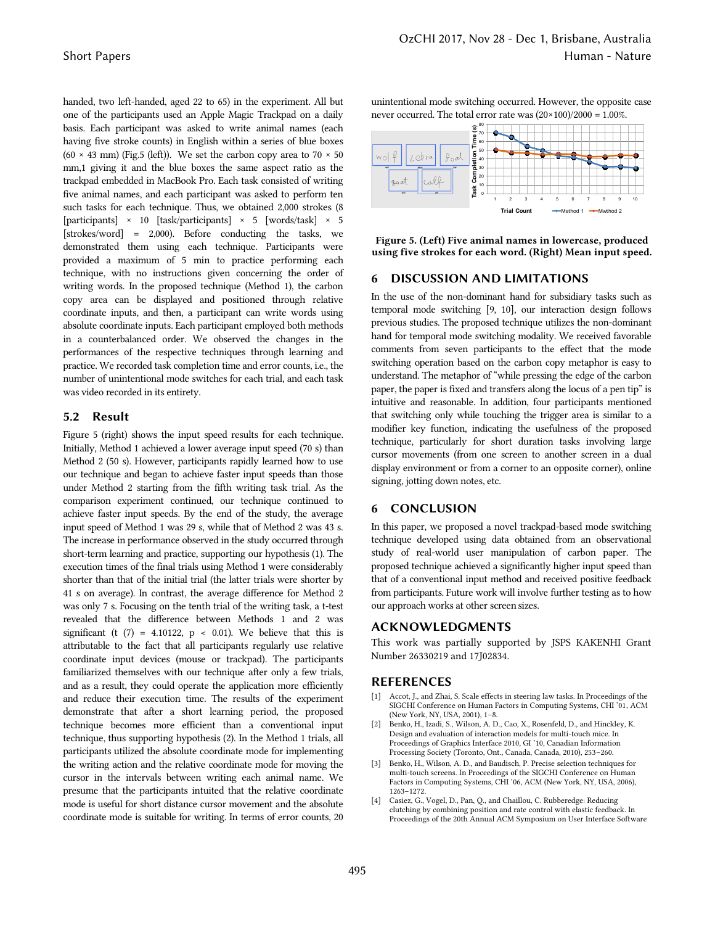handed, two left-handed, aged 22 to 65) in the experiment. All but one of the participants used an Apple Magic Trackpad on a daily basis. Each participant was asked to write animal names (each having five stroke counts) in English within a series of blue boxes (60  $\times$  43 mm) (Fig.5 (left)). We set the carbon copy area to 70  $\times$  50 mm,1 giving it and the blue boxes the same aspect ratio as the trackpad embedded in MacBook Pro. Each task consisted of writing five animal names, and each participant was asked to perform ten such tasks for each technique. Thus, we obtained 2,000 strokes (8 [participants] × 10 [task/participants] × 5 [words/task] × 5 [strokes/word] = 2,000). Before conducting the tasks, we demonstrated them using each technique. Participants were provided a maximum of 5 min to practice performing each technique, with no instructions given concerning the order of writing words. In the proposed technique (Method 1), the carbon copy area can be displayed and positioned through relative coordinate inputs, and then, a participant can write words using absolute coordinate inputs. Each participant employed both methods in a counterbalanced order. We observed the changes in the performances of the respective techniques through learning and practice. We recorded task completion time and error counts, i.e., the number of unintentional mode switches for each trial, and each task was video recorded in its entirety.

#### **5.2 Result**

Figure 5 (right) shows the input speed results for each technique. Initially, Method 1 achieved a lower average input speed (70 s) than Method 2 (50 s). However, participants rapidly learned how to use our technique and began to achieve faster input speeds than those under Method 2 starting from the fifth writing task trial. As the comparison experiment continued, our technique continued to achieve faster input speeds. By the end of the study, the average input speed of Method 1 was 29 s, while that of Method 2 was 43 s. The increase in performance observed in the study occurred through short-term learning and practice, supporting our hypothesis (1). The execution times of the final trials using Method 1 were considerably shorter than that of the initial trial (the latter trials were shorter by 41 s on average). In contrast, the average difference for Method 2 was only 7 s. Focusing on the tenth trial of the writing task, a t-test revealed that the difference between Methods 1 and 2 was significant (t  $(7)$  = 4.10122, p < 0.01). We believe that this is attributable to the fact that all participants regularly use relative coordinate input devices (mouse or trackpad). The participants familiarized themselves with our technique after only a few trials, and as a result, they could operate the application more efficiently and reduce their execution time. The results of the experiment demonstrate that after a short learning period, the proposed technique becomes more efficient than a conventional input technique, thus supporting hypothesis (2). In the Method 1 trials, all participants utilized the absolute coordinate mode for implementing the writing action and the relative coordinate mode for moving the cursor in the intervals between writing each animal name. We presume that the participants intuited that the relative coordinate mode is useful for short distance cursor movement and the absolute coordinate mode is suitable for writing. In terms of error counts, 20

unintentional mode switching occurred. However, the opposite case never occurred. The total error rate was  $(20 \times 100)/2000 = 1.00\%$ .



**Figure 5. (Left) Five animal names in lowercase, produced using five strokes for each word. (Right) Mean input speed.** 

# **6 DISCUSSION AND LIMITATIONS**

In the use of the non-dominant hand for subsidiary tasks such as temporal mode switching [9, 10], our interaction design follows previous studies. The proposed technique utilizes the non-dominant hand for temporal mode switching modality. We received favorable comments from seven participants to the effect that the mode switching operation based on the carbon copy metaphor is easy to understand. The metaphor of "while pressing the edge of the carbon paper, the paper is fixed and transfers along the locus of a pen tip" is intuitive and reasonable. In addition, four participants mentioned that switching only while touching the trigger area is similar to a modifier key function, indicating the usefulness of the proposed technique, particularly for short duration tasks involving large cursor movements (from one screen to another screen in a dual display environment or from a corner to an opposite corner), online signing, jotting down notes, etc.

# **6 CONCLUSION**

In this paper, we proposed a novel trackpad-based mode switching technique developed using data obtained from an observational study of real-world user manipulation of carbon paper. The proposed technique achieved a significantly higher input speed than that of a conventional input method and received positive feedback from participants. Future work will involve further testing as to how our approach works at other screen sizes.

# **ACKNOWLEDGMENTS**

This work was partially supported by JSPS KAKENHI Grant Number 26330219 and 17J02834.

#### **REFERENCES**

- Accot, J., and Zhai, S. Scale effects in steering law tasks. In Proceedings of the SIGCHI Conference on Human Factors in Computing Systems, CHI '01, ACM (New York, NY, USA, 2001), 1–8.
- [2] Benko, H., Izadi, S., Wilson, A. D., Cao, X., Rosenfeld, D., and Hinckley, K. Design and evaluation of interaction models for multi-touch mice. In Proceedings of Graphics Interface 2010, GI '10, Canadian Information Processing Society (Toronto, Ont., Canada, Canada, 2010), 253–260.
- [3] Benko, H., Wilson, A. D., and Baudisch, P. Precise selection techniques for multi-touch screens. In Proceedings of the SIGCHI Conference on Human Factors in Computing Systems, CHI '06, ACM (New York, NY, USA, 2006), 1263–1272.
- [4] Casiez, G., Vogel, D., Pan, Q., and Chaillou, C. Rubberedge: Reducing clutching by combining position and rate control with elastic feedback. In Proceedings of the 20th Annual ACM Symposium on User Interface Software